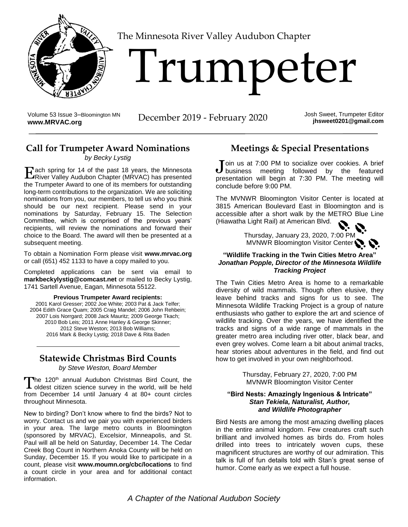

[T](http://www.MRVAC.org)he Minnesota River Valley Audubon Chapter

# Trumpeter

Volume 53 Issue 3-Bloomington MN<br>www.MRVAC.org

**December 2019 - February 2020** Josh Sweet, Trumpeter Editor

**jhsweet0201@gmail.com**

# **Call for Trumpeter Award Nominations**

#### *by Becky Lystig*

ach spring for 14 of the past 18 years, the Minnesota Each spring for 14 of the past 18 years, the Minnesota<br>
River Valley Audubon Chapter (MRVAC) has presented the Trumpeter Award to one of its members for outstanding long-term contributions to the organization. We are soliciting nominations from you, our members, to tell us who you think should be our next recipient. Please send in your nominations by Saturday, February 15. The Selection Committee, which is comprised of the previous years' recipients, will review the nominations and forward their choice to the Board. The award will then be presented at a subsequent meeting.

To obtain a Nomination Form please visit **[www.mrvac.org](http://www.mrvac.org/)** or call (651) 452 1133 to have a copy mailed to you.

Completed applications can be sent via email to **[markbeckylystig@comcast.net](mailto:markbeckylystig@comcast.net)** or mailed to Becky Lystig, 1741 Sartell Avenue, Eagan, Minnesota 55122.

#### **Previous Trumpeter Award recipients:**

2001 Karol Gresser; 2002 Joe White; 2003 Pat & Jack Telfer; 2004 Edith Grace Quam; 2005 Craig Mandel; 2006 John Rehbein; 2007 Lois Norrgard; 2008 Jack Mauritz; 2009 George Tkach; 2010 Bob Leis; 2011 Anne Hanley & George Skinner; 2012 Steve Weston; 2013 Bob Williams; 2016 Mark & Becky Lystig; 2018 Dave & Rita Baden

## **Statewide Christmas Bird Counts**

*by Steve Weston, Board Member*

The 120<sup>th</sup> annual Audubon Christmas Bird Count, the The 120<sup>th</sup> annual Audubon Christmas Bird Count, the oldest citizen science survey in the world, will be held from December 14 until January 4 at 80+ count circles throughout Minnesota.

New to birding? Don't know where to find the birds? Not to worry. Contact us and we pair you with experienced birders in your area. The large metro counts in Bloomington (sponsored by MRVAC), Excelsior, Minneapolis, and St. Paul will all be held on Saturday, December 14. The Cedar Creek Bog Count in Northern Anoka County will be held on Sunday, December 15. If you would like to participate in a count, please visit **[www.moumn.org/cbc/locations](http://www.moumn.org/cbc/locations)** to find a count circle in your area and for additional contact information.

## **Meetings & Special Presentations**

oin us at 7:00 PM to socialize over cookies. A brief Join us at 7:00 PM to socialize over cookies. A brief business meeting followed by the featured presentation will begin at 7:30 PM. The meeting will conclude before 9:00 PM.

The MVNWR Bloomington Visitor Center is located at 3815 American Boulevard East in Bloomington and is accessible after a short walk by the METRO Blue Line (Hiawatha Light Rail) at American Blvd.

> Thursday, January 23, 2020, 7:00 PM MVNWR Bloomington Visitor Center

#### **"Wildlife Tracking in the Twin Cities Metro Area"** *Jonathan Popple, Director of the Minnesota Wildlife Tracking Project*

The Twin Cities Metro Area is home to a remarkable diversity of wild mammals. Though often elusive, they leave behind tracks and signs for us to see. The Minnesota Wildlife Tracking Project is a group of nature enthusiasts who gather to explore the art and science of wildlife tracking. Over the years, we have identified the tracks and signs of a wide range of mammals in the greater metro area including river otter, black bear, and even grey wolves. Come learn a bit about animal tracks, hear stories about adventures in the field, and find out how to get involved in your own neighborhood.

> Thursday, February 27, 2020, 7:00 PM MVNWR Bloomington Visitor Center

#### **"Bird Nests: Amazingly Ingenious & Intricate"** *Stan Tekiela, Naturalist, Author, and Wildlife Photographer*

Bird Nests are among the most amazing dwelling places in the entire animal kingdom. Few creatures craft such brilliant and involved homes as birds do. From holes drilled into trees to intricately woven cups, these magnificent structures are worthy of our admiration. This talk is full of fun details told with Stan's great sense of humor. Come early as we expect a full house.

*A Chapter of the National Audubon Society*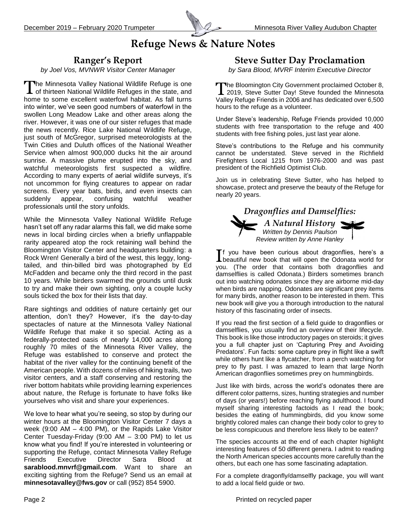

# **Refuge News & Nature Notes**

## **Ranger's Report**

*by Joel Vos, MVNWR Visitor Center Manager*

The Minnesota Valley National Wildlife Refuge is one The Minnesota Valley National Wildlife Refuge is one<br>
of thirteen National Wildlife Refuges in the state, and home to some excellent waterfowl habitat. As fall turns into winter, we've seen good numbers of waterfowl in the swollen Long Meadow Lake and other areas along the river. However, it was one of our sister refuges that made the news recently. Rice Lake National Wildlife Refuge, just south of McGregor, surprised meteorologists at the Twin Cities and Duluth offices of the National Weather Service when almost 900,000 ducks hit the air around sunrise. A massive plume erupted into the sky, and watchful meteorologists first suspected a wildfire. According to many experts of aerial wildlife surveys, it's not uncommon for flying creatures to appear on radar screens. Every year bats, birds, and even insects can suddenly appear, confusing watchful weather professionals until the story unfolds.

While the Minnesota Valley National Wildlife Refuge hasn't set off any radar alarms this fall, we did make some news in local birding circles when a briefly unflappable rarity appeared atop the rock retaining wall behind the Bloomington Visitor Center and headquarters building: a Rock Wren! Generally a bird of the west, this leggy, longtailed, and thin-billed bird was photographed by Ed McFadden and became only the third record in the past 10 years. While birders swarmed the grounds until dusk to try and make their own sighting, only a couple lucky souls ticked the box for their lists that day.

Rare sightings and oddities of nature certainly get our attention, don't they? However, it's the day-to-day spectacles of nature at the Minnesota Valley National Wildlife Refuge that make it so special. Acting as a federally-protected oasis of nearly 14,000 acres along roughly 70 miles of the Minnesota River Valley, the Refuge was established to conserve and protect the habitat of the river valley for the continuing benefit of the American people. With dozens of miles of hiking trails, two visitor centers, and a staff conserving and restoring the river bottom habitats while providing learning experiences about nature, the Refuge is fortunate to have folks like yourselves who visit and share your experiences.

We love to hear what you're seeing, so stop by during our winter hours at the Bloomington Visitor Center 7 days a week (9:00 AM – 4:00 PM), or the Rapids Lake Visitor Center Tuesday-Friday (9:00 AM – 3:00 PM) to let us know what you find! If you're interested in volunteering or supporting the Refuge, contact Minnesota Valley Refuge Friends Executive Director Sara Blood at **[sarablood.mnvrf@gmail.com](mailto:sarablood.mnvrf@gmail.com)**. Want to share an exciting sighting from the Refuge? Send us an email at **[minnesotavalley@fws.gov](mailto:minnesotavalley@fws.gov)** or call (952) 854 5900.

## **Steve Sutter Day Proclamation**

*by Sara Blood, MVRF Interim Executive Director*

he Bloomington City Government proclaimed October 8,  $\perp$  2019, Steve Sutter Day! Steve founded the Minnesota Valley Refuge Friends in 2006 and has dedicated over 6,500 hours to the refuge as a volunteer.

Under Steve's leadership, Refuge Friends provided 10,000 students with free transportation to the refuge and 400 students with free fishing poles, just last year alone.

Steve's contributions to the Refuge and his community cannot be understated. Steve served in the Richfield Firefighters Local 1215 from 1976-2000 and was past president of the Richfield Optimist Club.

Join us in celebrating Steve Sutter, who has helped to showcase, protect and preserve the beauty of the Refuge for nearly 20 years.



f you have been curious about dragonflies, here's a If you have been curious about dragonflies, here's a beautiful new book that will open the Odonata world for you. (The order that contains both dragonflies and damselflies is called Odonata.) Birders sometimes branch out into watching odonates since they are airborne mid-day when birds are napping. Odonates are significant prey items for many birds, another reason to be interested in them. This new book will give you a thorough introduction to the natural history of this fascinating order of insects.

If you read the first section of a field guide to dragonflies or damselflies, you usually find an overview of their lifecycle. This book is like those introductory pages on steroids; it gives you a full chapter just on 'Capturing Prey and Avoiding Predators'. Fun facts: some capture prey in flight like a swift while others hunt like a flycatcher, from a perch watching for prey to fly past. I was amazed to learn that large North American dragonflies sometimes prey on hummingbirds.

Just like with birds, across the world's odonates there are different color patterns, sizes, hunting strategies and number of days (or years!) before reaching flying adulthood. I found myself sharing interesting factoids as I read the book; besides the eating of hummingbirds, did you know some brightly colored males can change their body color to grey to be less conspicuous and therefore less likely to be eaten?

The species accounts at the end of each chapter highlight interesting features of 50 different genera. I admit to reading the North American species accounts more carefully than the others, but each one has some fascinating adaptation.

For a complete dragonfly/damselfly package, you will want to add a local field guide or two.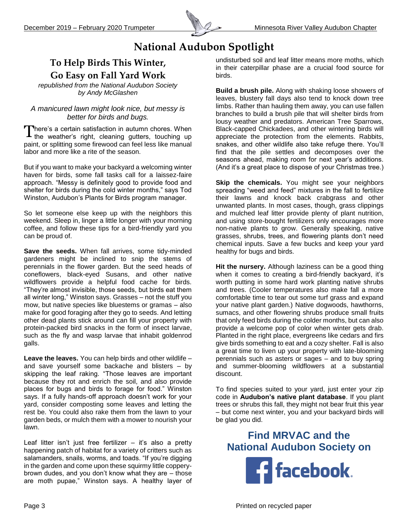

# **National Audubon Spotlight**

# **To Help Birds This Winter,**

**Go Easy on Fall Yard Work**

*republished from the National Audubon Society by Andy McGlashen*

#### *A manicured lawn might look nice, but messy is better for birds and bugs.*

There's a certain satisfaction in autumn chores. When There's a certain satisfaction in autumn chores. When the weather's right, cleaning gutters, touching up paint, or splitting some firewood can feel less like manual labor and more like a rite of the season.

But if you want to make your backyard a welcoming winter haven for birds, some fall tasks call for a laissez-faire approach. "Messy is definitely good to provide food and shelter for birds during the cold winter months," says Tod Winston, Audubon's Plants for Birds program manager.

So let someone else keep up with the neighbors this weekend. Sleep in, linger a little longer with your morning coffee, and follow these tips for a bird-friendly yard you can be proud of.

**Save the seeds.** When fall arrives, some tidy-minded gardeners might be inclined to snip the stems of perennials in the flower garden. But the seed heads of coneflowers, black-eyed Susans, and other native wildflowers provide a helpful food cache for birds. "They're almost invisible, those seeds, but birds eat them all winter long," Winston says. Grasses – not the stuff you mow, but native species like bluestems or gramas – also make for good foraging after they go to seeds. And letting other dead plants stick around can fill your property with protein-packed bird snacks in the form of insect larvae, such as the fly and wasp larvae that inhabit goldenrod galls.

**Leave the leaves.** You can help birds and other wildlife – and save yourself some backache and blisters – by skipping the leaf raking. "Those leaves are important because they rot and enrich the soil, and also provide places for bugs and birds to forage for food." Winston says. If a fully hands-off approach doesn't work for your yard, consider composting some leaves and letting the rest be. You could also rake them from the lawn to your garden beds, or mulch them with a mower to nourish your lawn.

Leaf litter isn't just free fertilizer – it's also a pretty happening patch of habitat for a variety of critters such as salamanders, snails, worms, and toads. "If you're digging in the garden and come upon these squirmy little copperybrown dudes, and you don't know what they are – those are moth pupae," Winston says. A healthy layer of undisturbed soil and leaf litter means more moths, which in their caterpillar phase are a crucial food source for birds.

**Build a brush pile.** Along with shaking loose showers of leaves, blustery fall days also tend to knock down tree limbs. Rather than hauling them away, you can use fallen branches to build a brush pile that will shelter birds from lousy weather and predators. American Tree Sparrows, Black-capped Chickadees, and other wintering birds will appreciate the protection from the elements. Rabbits, snakes, and other wildlife also take refuge there. You'll find that the pile settles and decomposes over the seasons ahead, making room for next year's additions. (And it's a great place to dispose of your Christmas tree.)

**Skip the chemicals.** You might see your neighbors spreading "weed and feed" mixtures in the fall to fertilize their lawns and knock back crabgrass and other unwanted plants. In most cases, though, grass clippings and mulched leaf litter provide plenty of plant nutrition, and using store-bought fertilizers only encourages more non-native plants to grow. Generally speaking, native grasses, shrubs, trees, and flowering plants don't need chemical inputs. Save a few bucks and keep your yard healthy for bugs and birds.

**Hit the nursery.** Although laziness can be a good thing when it comes to creating a bird-friendly backyard, it's worth putting in some hard work planting native shrubs and trees. (Cooler temperatures also make fall a more comfortable time to tear out some turf grass and expand your native plant garden.) Native dogwoods, hawthorns, sumacs, and other flowering shrubs produce small fruits that only feed birds during the colder months, but can also provide a welcome pop of color when winter gets drab. Planted in the right place, evergreens like cedars and firs give birds something to eat and a cozy shelter. Fall is also a great time to liven up your property with late-blooming perennials such as asters or sages – and to buy spring and summer-blooming wildflowers at a substantial discount.

To find species suited to your yard, just enter your zip code in **[Audubon's native plant database](https://www.audubon.org/native-plants)**. If you plant trees or shrubs this fall, they might not bear fruit this year – but come next winter, you and your backyard birds will be glad you did.

**Find MRVAC and the National Audubon Society on**

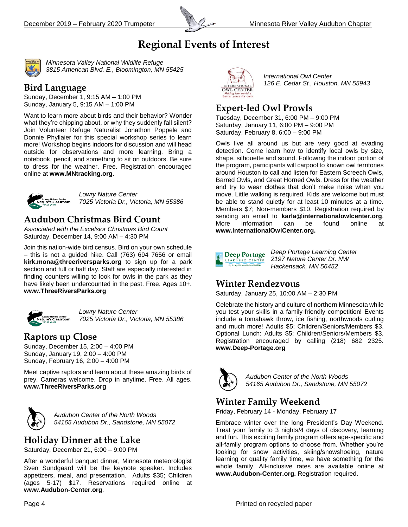

# **Regional Events of Interest**



*Minnesota Valley National Wildlife Refuge 3815 American Blvd. E., Bloomington, MN 55425*

## **Bird Language**

Sunday, December 1, 9:15 AM – 1:00 PM Sunday, January 5, 9:15 AM – 1:00 PM

Want to learn more about birds and their behavior? Wonder what they're chipping about, or why they suddenly fall silent? Join Volunteer Refuge Naturalist Jonathon Poppele and Donnie Phyllaier for this special workshop series to learn more! Workshop begins indoors for discussion and will head outside for observations and more learning. Bring a notebook, pencil, and something to sit on outdoors. Be sure to dress for the weather. Free. Registration encouraged online at **www.MNtracking.org**.



*Lowry Nature Center 7025 Victoria Dr., Victoria, MN 55386*

## **Audubon Christmas Bird Count**

*Associated with the Excelsior Christmas Bird Count* Saturday, December 14, 9:00 AM – 4:30 PM

Join this nation-wide bird census. Bird on your own schedule – this is not a guided hike. Call (763) 694 7656 or email **[kirk.mona@threeriversparks.org](mailto:kirk.mona@threeriversparks.org)** to sign up for a park section and full or half day. Staff are especially interested in finding counters willing to look for owls in the park as they have likely been undercounted in the past. Free. Ages 10+. **[www.ThreeRiversParks.org](http://www.threeriversparks.org/)**



*Lowry Nature Center 7025 Victoria Dr., Victoria, MN 55386*

## **Raptors up Close**

Sunday, December 15, 2:00 – 4:00 PM Sunday, January 19, 2:00 – 4:00 PM Sunday, February 16, 2:00 – 4:00 PM

Meet captive raptors and learn about these amazing birds of prey. Cameras welcome. Drop in anytime. Free. All ages. **[www.ThreeRiversParks.org](http://www.threeriversparks.org/)**



*Audubon Center of the North Woods 54165 Audubon Dr., Sandstone, MN 55072*

## **Holiday Dinner at the Lake**

Saturday, December 21, 6:00 – 9:00 PM

After a wonderful banquet dinner, Minnesota meteorologist Sven Sundgaard will be the keynote speaker. Includes appetizers, meal, and presentation. Adults \$35; Children (ages 5-17) \$17. Reservations required online at **[www.Audubon-Center.org](http://www.audubon-center.org/)**.



*International Owl Center 126 E. Cedar St., Houston, MN 55943*

# **Expert-led Owl Prowls**

Tuesday, December 31, 6:00 PM – 9:00 PM Saturday, January 11, 6:00 PM – 9:00 PM Saturday, February 8, 6:00 – 9:00 PM

Owls live all around us but are very good at evading detection. Come learn how to identify local owls by size, shape, silhouette and sound. Following the indoor portion of the program, participants will carpool to known owl territories around Houston to call and listen for Eastern Screech Owls, Barred Owls, and Great Horned Owls. Dress for the weather and try to wear clothes that don't make noise when you move. Little walking is required. Kids are welcome but must be able to stand quietly for at least 10 minutes at a time. Members \$7; Non-members \$10. Registration required by sending an email to **[karla@internationalowlcenter.org](mailto:karla@internationalowlcenter.org)**. More information can be found online at **[www.InternationalOwlCenter.org.](http://www.internationalowlcenter.org/)**



*Deep Portage Learning Center 2197 Nature Center Dr. NW Hackensack, MN 56452*

# **Winter Rendezvous**

Saturday, January 25, 10:00 AM – 2:30 PM

Celebrate the history and culture of northern Minnesota while you test your skills in a family-friendly competition! Events include a tomahawk throw, ice fishing, northwoods curling and much more! Adults \$5; Children/Seniors/Members \$3. Optional Lunch: Adults \$5; Children/Seniors/Members \$3. Registration encouraged by calling (218) 682 2325. **[www.Deep-Portage.org](http://www.deep-portage.org/)**



*Audubon Center of the North Woods 54165 Audubon Dr., Sandstone, MN 55072*

## **Winter Family Weekend**

Friday, February 14 - Monday, February 17

Embrace winter over the long President's Day Weekend. Treat your family to 3 nights/4 days of discovery, learning and fun. This exciting family program offers age-specific and all-family program options to choose from. Whether you're looking for snow activities, skiing/snowshoeing, nature learning or quality family time, we have something for the whole family. All-inclusive rates are available online at **[www.Audubon-Center.org.](http://www.audubon-center.org/)** Registration required.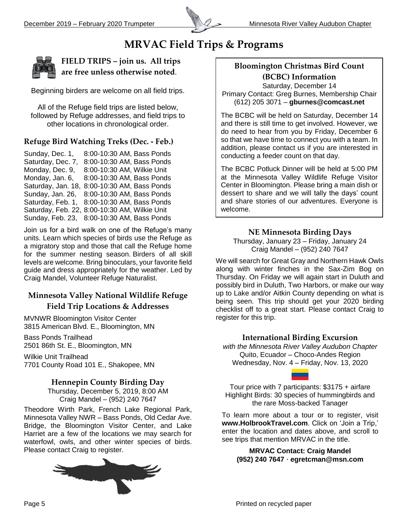

# **MRVAC Field Trips & Programs**



**FIELD TRIPS – join us. All trips are free unless otherwise noted**.

Beginning birders are welcome on all field trips.

All of the Refuge field trips are listed below, followed by Refuge addresses, and field trips to other locations in chronological order.

#### **Refuge Bird Watching Treks (Dec. - Feb.)**

Sunday, Dec. 1, 8:00-10:30 AM, Bass Ponds Saturday, Dec. 7, 8:00-10:30 AM, Bass Ponds Monday, Dec. 9, 8:00-10:30 AM, Wilkie Unit Monday, Jan. 6, 8:00-10:30 AM, Bass Ponds Saturday, Jan. 18, 8:00-10:30 AM, Bass Ponds Sunday, Jan. 26, 8:00-10:30 AM, Bass Ponds Saturday, Feb. 1, 8:00-10:30 AM, Bass Ponds Saturday, Feb. 22, 8:00-10:30 AM, Wilkie Unit Sunday, Feb. 23, 8:00-10:30 AM, Bass Ponds

Join us for a bird walk on one of the Refuge's many units. Learn which species of birds use the Refuge as a migratory stop and those that call the Refuge home for the summer nesting season. Birders of all skill levels are welcome. Bring binoculars, your favorite field guide and dress appropriately for the weather. Led by Craig Mandel, Volunteer Refuge Naturalist.

#### **Minnesota Valley National Wildlife Refuge Field Trip Locations & Addresses**

MVNWR Bloomington Visitor Center 3815 American Blvd. E., Bloomington, MN

Bass Ponds Trailhead 2501 86th St. E., Bloomington, MN

Wilkie Unit Trailhead 7701 County Road 101 E., Shakopee, MN

#### **Hennepin County Birding Day**

Thursday, December 5, 2019, 8:00 AM Craig Mandel – (952) 240 7647

Theodore Wirth Park, French Lake Regional Park, Minnesota Valley NWR – Bass Ponds, Old Cedar Ave. Bridge, the Bloomington Visitor Center, and Lake Harriet are a few of the locations we may search for waterfowl, owls, and other winter species of birds. Please contact Craig to register.



#### **Bloomington Christmas Bird Count (BCBC) Information**

Saturday, December 14 Primary Contact: Greg Burnes, Membership Chair (612) 205 3071 – **gburnes@comcast.net**

The BCBC will be held on Saturday, December 14 and there is still time to get involved. However, we do need to hear from you by Friday, December 6 so that we have time to connect you with a team. In addition, please contact us if you are interested in conducting a feeder count on that day.

The BCBC Potluck Dinner will be held at 5:00 PM at the Minnesota Valley Wildlife Refuge Visitor Center in Bloomington. Please bring a main dish or dessert to share and we will tally the days' count and share stories of our adventures. Everyone is welcome.

#### **NE Minnesota Birding Days**

Thursday, January 23 – Friday, January 24 Craig Mandel – (952) 240 7647

We will search for Great Gray and Northern Hawk Owls along with winter finches in the Sax-Zim Bog on Thursday. On Friday we will again start in Duluth and possibly bird in Duluth, Two Harbors, or make our way up to Lake and/or Aitkin County depending on what is being seen. This trip should get your 2020 birding checklist off to a great start. Please contact Craig to register for this trip.

#### **International Birding Excursion**

*with the Minnesota River Valley Audubon Chapter* Quito, Ecuador – Choco-Andes Region Wednesday, Nov. 4 – Friday, Nov. 13, 2020

Tour price with 7 participants: \$3175 + airfare Highlight Birds: 30 species of hummingbirds and the rare Moss-backed Tanager

To learn more about a tour or to register, visit **www.HolbrookTravel.com**. Click on 'Join a Trip,' enter the location and dates above, and scroll to see trips that mention MRVAC in the title.

**MRVAC Contact: Craig Mandel (952) 240 7647 · [egretcman@msn.com](mailto:egretcman@msn.com)**